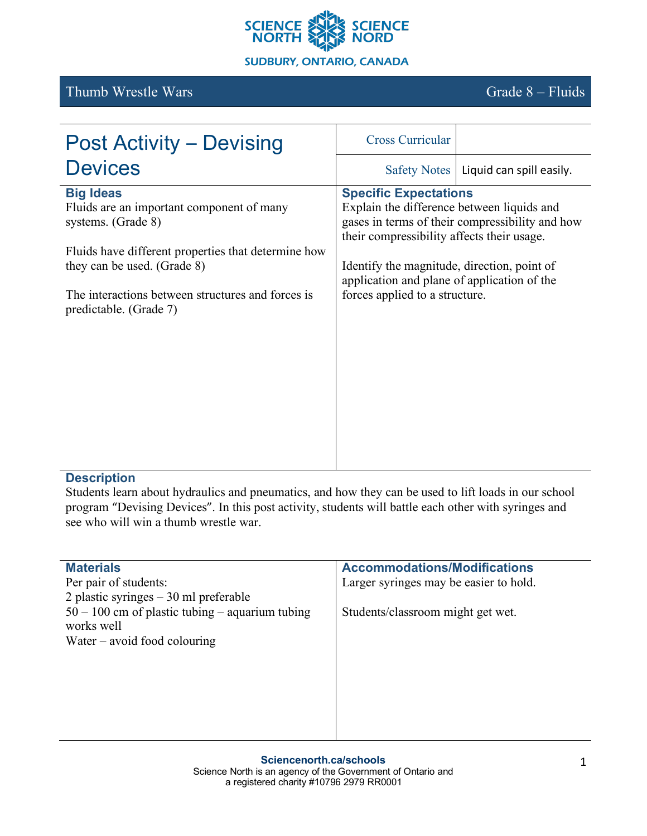

# Thumb Wrestle Wars Grade 8 – Fluids

| <b>Post Activity – Devising</b>                                                                                                                                                                                                                          | <b>Cross Curricular</b>                                                                                                                                                                                                                                  |                                                 |
|----------------------------------------------------------------------------------------------------------------------------------------------------------------------------------------------------------------------------------------------------------|----------------------------------------------------------------------------------------------------------------------------------------------------------------------------------------------------------------------------------------------------------|-------------------------------------------------|
| <b>Devices</b>                                                                                                                                                                                                                                           | <b>Safety Notes</b>                                                                                                                                                                                                                                      | Liquid can spill easily.                        |
| <b>Big Ideas</b><br>Fluids are an important component of many<br>systems. (Grade 8)<br>Fluids have different properties that determine how<br>they can be used. (Grade 8)<br>The interactions between structures and forces is<br>predictable. (Grade 7) | <b>Specific Expectations</b><br>Explain the difference between liquids and<br>their compressibility affects their usage.<br>Identify the magnitude, direction, point of<br>application and plane of application of the<br>forces applied to a structure. | gases in terms of their compressibility and how |

### **Description**

Students learn about hydraulics and pneumatics, and how they can be used to lift loads in our school program "Devising Devices". In this post activity, students will battle each other with syringes and see who will win a thumb wrestle war.

| <b>Materials</b>                                  | <b>Accommodations/Modifications</b>    |
|---------------------------------------------------|----------------------------------------|
| Per pair of students:                             | Larger syringes may be easier to hold. |
| 2 plastic syringes $-30$ ml preferable            |                                        |
| $50 - 100$ cm of plastic tubing – aquarium tubing | Students/classroom might get wet.      |
| works well                                        |                                        |
| Water $-$ avoid food colouring                    |                                        |
|                                                   |                                        |
|                                                   |                                        |